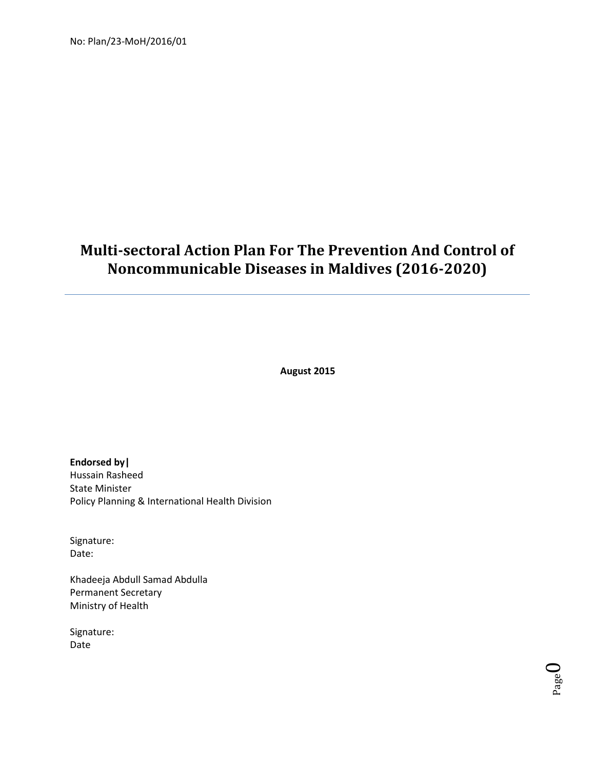No: Plan/23-MoH/2016/01

# **Multi-sectoral Action Plan For The Prevention And Control of Noncommunicable Diseases in Maldives (2016-2020)**

 **August 2015**

**Endorsed by|** Hussain Rasheed State Minister Policy Planning & International Health Division

Signature: Date:

Khadeeja Abdull Samad Abdulla Permanent Secretary Ministry of Health

Signature: Date

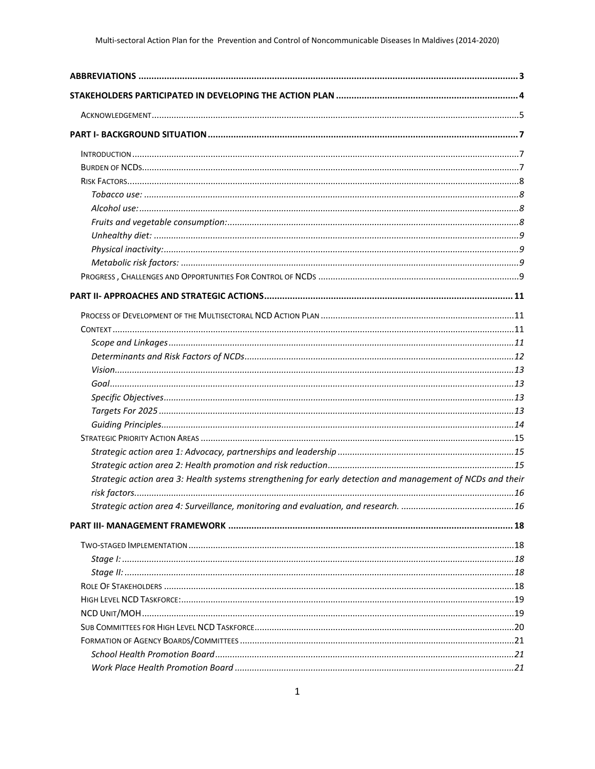| Strategic action area 3: Health systems strengthening for early detection and management of NCDs and their |  |
|------------------------------------------------------------------------------------------------------------|--|
|                                                                                                            |  |
|                                                                                                            |  |
|                                                                                                            |  |
|                                                                                                            |  |
|                                                                                                            |  |
|                                                                                                            |  |
|                                                                                                            |  |
|                                                                                                            |  |
|                                                                                                            |  |
|                                                                                                            |  |
|                                                                                                            |  |
|                                                                                                            |  |
|                                                                                                            |  |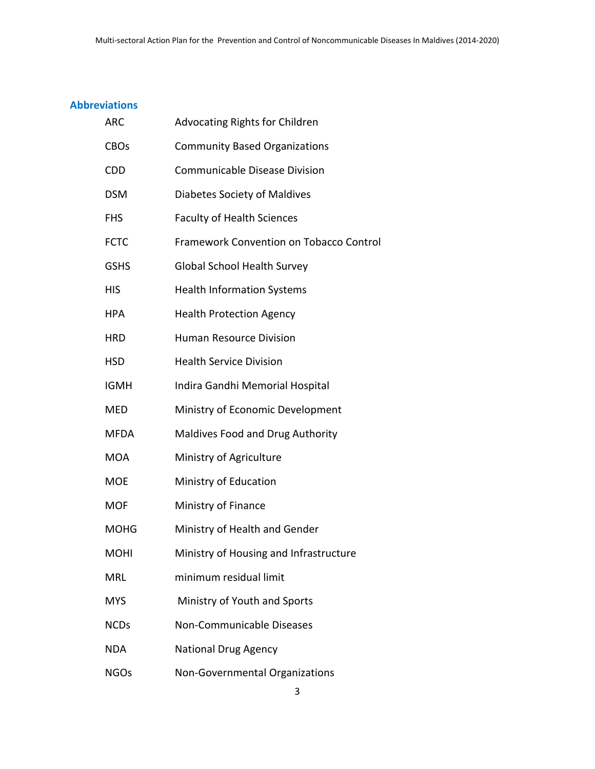# <span id="page-3-0"></span>**Abbreviations**

| <b>ARC</b>  | Advocating Rights for Children          |
|-------------|-----------------------------------------|
| <b>CBOs</b> | <b>Community Based Organizations</b>    |
| <b>CDD</b>  | <b>Communicable Disease Division</b>    |
| <b>DSM</b>  | Diabetes Society of Maldives            |
| <b>FHS</b>  | <b>Faculty of Health Sciences</b>       |
| <b>FCTC</b> | Framework Convention on Tobacco Control |
| <b>GSHS</b> | <b>Global School Health Survey</b>      |
| <b>HIS</b>  | <b>Health Information Systems</b>       |
| <b>HPA</b>  | <b>Health Protection Agency</b>         |
| <b>HRD</b>  | <b>Human Resource Division</b>          |
| <b>HSD</b>  | <b>Health Service Division</b>          |
| <b>IGMH</b> | Indira Gandhi Memorial Hospital         |
| <b>MED</b>  | Ministry of Economic Development        |
| <b>MFDA</b> | Maldives Food and Drug Authority        |
| <b>MOA</b>  | Ministry of Agriculture                 |
| <b>MOE</b>  | Ministry of Education                   |
| <b>MOF</b>  | Ministry of Finance                     |
| <b>MOHG</b> | Ministry of Health and Gender           |
| <b>MOHI</b> | Ministry of Housing and Infrastructure  |
| <b>MRL</b>  | minimum residual limit                  |
| <b>MYS</b>  | Ministry of Youth and Sports            |
| <b>NCDs</b> | Non-Communicable Diseases               |
| <b>NDA</b>  | <b>National Drug Agency</b>             |
| <b>NGOs</b> | Non-Governmental Organizations          |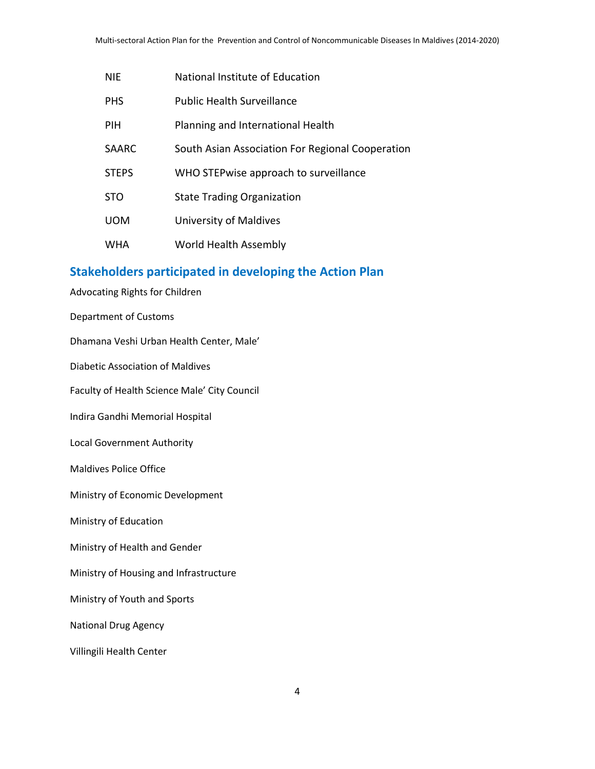| <b>NIE</b>   | National Institute of Education                  |
|--------------|--------------------------------------------------|
| <b>PHS</b>   | <b>Public Health Surveillance</b>                |
| PIH          | Planning and International Health                |
| <b>SAARC</b> | South Asian Association For Regional Cooperation |
| <b>STEPS</b> | WHO STEPwise approach to surveillance            |
| STO          | <b>State Trading Organization</b>                |
| <b>UOM</b>   | University of Maldives                           |
| WHA          | World Health Assembly                            |

# <span id="page-4-0"></span>**Stakeholders participated in developing the Action Plan**

| Advocating Rights for Children               |
|----------------------------------------------|
| Department of Customs                        |
| Dhamana Veshi Urban Health Center, Male'     |
| <b>Diabetic Association of Maldives</b>      |
| Faculty of Health Science Male' City Council |
| Indira Gandhi Memorial Hospital              |
| <b>Local Government Authority</b>            |
| <b>Maldives Police Office</b>                |
| Ministry of Economic Development             |
| Ministry of Education                        |
| Ministry of Health and Gender                |
| Ministry of Housing and Infrastructure       |
| Ministry of Youth and Sports                 |
| <b>National Drug Agency</b>                  |
| Villingili Health Center                     |
|                                              |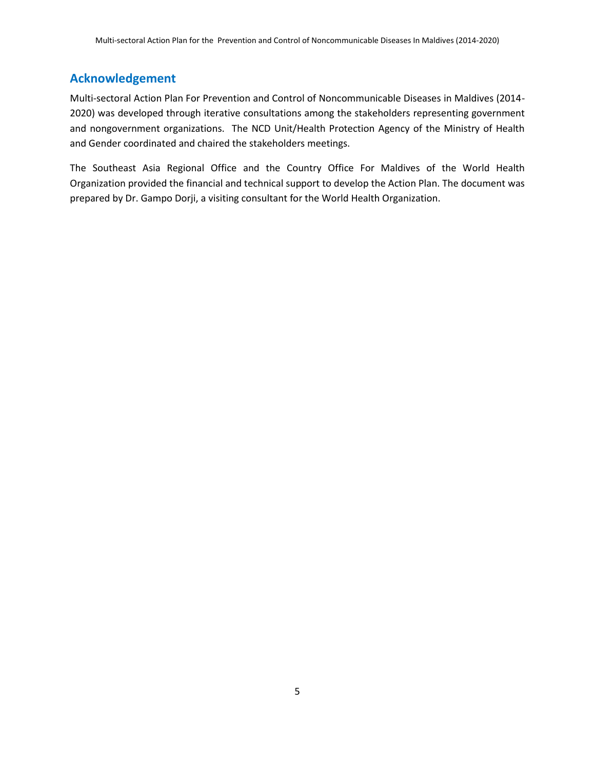# <span id="page-5-0"></span>**Acknowledgement**

Multi-sectoral Action Plan For Prevention and Control of Noncommunicable Diseases in Maldives (2014- 2020) was developed through iterative consultations among the stakeholders representing government and nongovernment organizations. The NCD Unit/Health Protection Agency of the Ministry of Health and Gender coordinated and chaired the stakeholders meetings.

The Southeast Asia Regional Office and the Country Office For Maldives of the World Health Organization provided the financial and technical support to develop the Action Plan. The document was prepared by Dr. Gampo Dorji, a visiting consultant for the World Health Organization.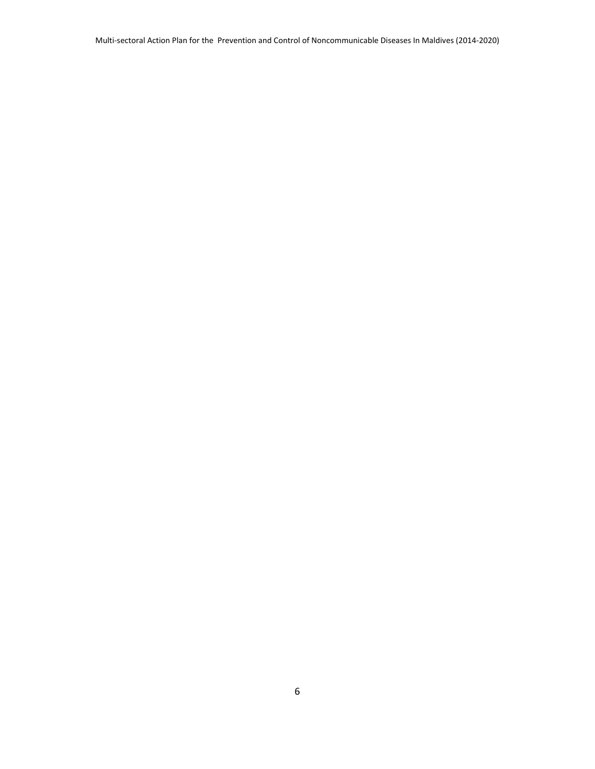Multi-sectoral Action Plan for the Prevention and Control of Noncommunicable Diseases In Maldives (2014-2020)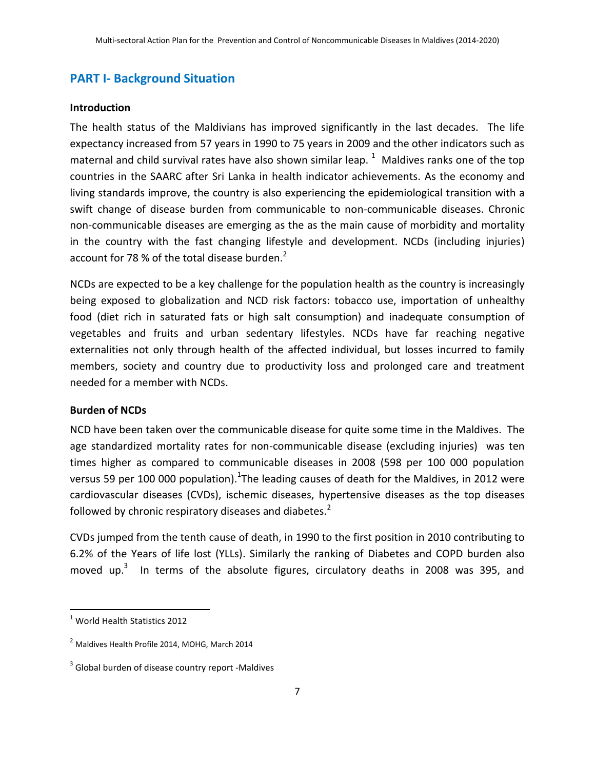## <span id="page-7-0"></span>**PART I- Background Situation**

#### <span id="page-7-1"></span>**Introduction**

The health status of the Maldivians has improved significantly in the last decades. The life expectancy increased from 57 years in 1990 to 75 years in 2009 and the other indicators such as maternal and child survival rates have also shown similar leap.  $1$  Maldives ranks one of the top countries in the SAARC after Sri Lanka in health indicator achievements. As the economy and living standards improve, the country is also experiencing the epidemiological transition with a swift change of disease burden from communicable to non-communicable diseases. Chronic non-communicable diseases are emerging as the as the main cause of morbidity and mortality in the country with the fast changing lifestyle and development. NCDs (including injuries) account for 78 % of the total disease burden.<sup>2</sup>

NCDs are expected to be a key challenge for the population health as the country is increasingly being exposed to globalization and NCD risk factors: tobacco use, importation of unhealthy food (diet rich in saturated fats or high salt consumption) and inadequate consumption of vegetables and fruits and urban sedentary lifestyles. NCDs have far reaching negative externalities not only through health of the affected individual, but losses incurred to family members, society and country due to productivity loss and prolonged care and treatment needed for a member with NCDs.

#### <span id="page-7-2"></span>**Burden of NCDs**

NCD have been taken over the communicable disease for quite some time in the Maldives. The age standardized mortality rates for non-communicable disease (excluding injuries) was ten times higher as compared to communicable diseases in 2008 (598 per 100 000 population versus 59 per 100 000 population).<sup>1</sup>The leading causes of death for the Maldives, in 2012 were cardiovascular diseases (CVDs), ischemic diseases, hypertensive diseases as the top diseases followed by chronic respiratory diseases and diabetes.<sup>2</sup>

CVDs jumped from the tenth cause of death, in 1990 to the first position in 2010 contributing to 6.2% of the Years of life lost (YLLs). Similarly the ranking of Diabetes and COPD burden also moved up.<sup>3</sup> In terms of the absolute figures, circulatory deaths in 2008 was 395, and

 $\overline{\phantom{a}}$ 

<sup>1</sup> World Health Statistics 2012

<sup>&</sup>lt;sup>2</sup> Maldives Health Profile 2014, MOHG, March 2014

 $3$  Global burden of disease country report -Maldives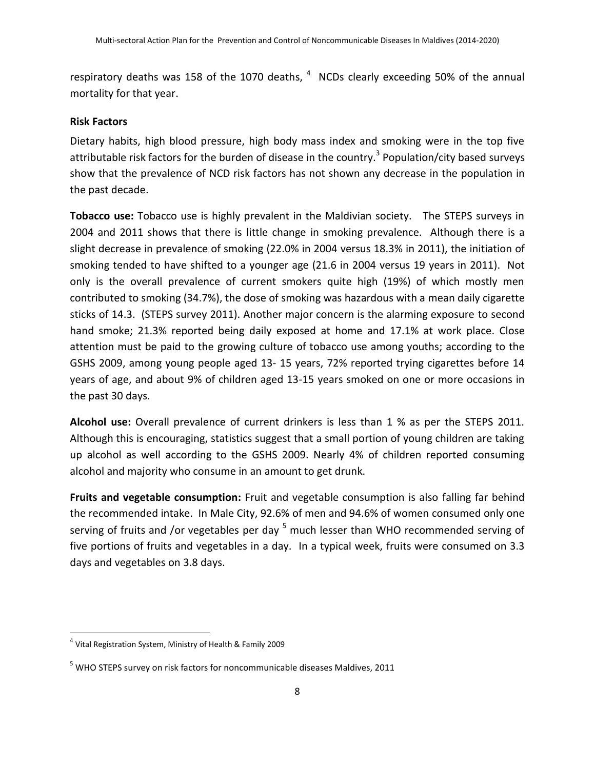respiratory deaths was 158 of the 1070 deaths,  $4\,$  NCDs clearly exceeding 50% of the annual mortality for that year.

#### <span id="page-8-0"></span>**Risk Factors**

Dietary habits, high blood pressure, high body mass index and smoking were in the top five attributable risk factors for the burden of disease in the country.<sup>3</sup> Population/city based surveys show that the prevalence of NCD risk factors has not shown any decrease in the population in the past decade.

<span id="page-8-1"></span>**Tobacco use:** Tobacco use is highly prevalent in the Maldivian society. The STEPS surveys in 2004 and 2011 shows that there is little change in smoking prevalence. Although there is a slight decrease in prevalence of smoking (22.0% in 2004 versus 18.3% in 2011), the initiation of smoking tended to have shifted to a younger age (21.6 in 2004 versus 19 years in 2011). Not only is the overall prevalence of current smokers quite high (19%) of which mostly men contributed to smoking (34.7%), the dose of smoking was hazardous with a mean daily cigarette sticks of 14.3. (STEPS survey 2011). Another major concern is the alarming exposure to second hand smoke; 21.3% reported being daily exposed at home and 17.1% at work place. Close attention must be paid to the growing culture of tobacco use among youths; according to the GSHS 2009, among young people aged 13- 15 years, 72% reported trying cigarettes before 14 years of age, and about 9% of children aged 13-15 years smoked on one or more occasions in the past 30 days.

<span id="page-8-2"></span>**Alcohol use:** Overall prevalence of current drinkers is less than 1 % as per the STEPS 2011. Although this is encouraging, statistics suggest that a small portion of young children are taking up alcohol as well according to the GSHS 2009. Nearly 4% of children reported consuming alcohol and majority who consume in an amount to get drunk.

<span id="page-8-3"></span>**Fruits and vegetable consumption:** Fruit and vegetable consumption is also falling far behind the recommended intake. In Male City, 92.6% of men and 94.6% of women consumed only one serving of fruits and /or vegetables per day  $5$  much lesser than WHO recommended serving of five portions of fruits and vegetables in a day. In a typical week, fruits were consumed on 3.3 days and vegetables on 3.8 days.

 $\overline{\phantom{a}}$ 

<sup>&</sup>lt;sup>4</sup> Vital Registration System, Ministry of Health & Family 2009

<sup>&</sup>lt;sup>5</sup> WHO STEPS survey on risk factors for noncommunicable diseases Maldives, 2011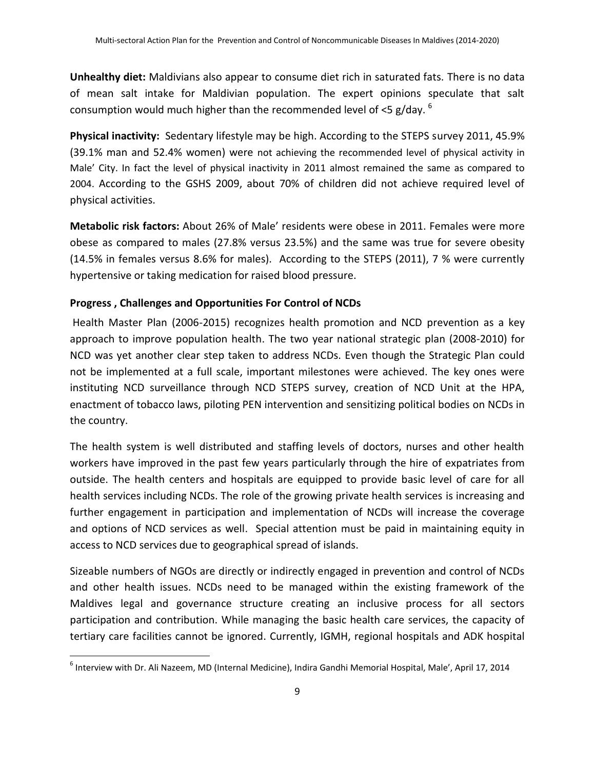<span id="page-9-0"></span>**Unhealthy diet:** Maldivians also appear to consume diet rich in saturated fats. There is no data of mean salt intake for Maldivian population. The expert opinions speculate that salt consumption would much higher than the recommended level of  $\leq$  5 g/day. <sup>6</sup>

<span id="page-9-1"></span>**Physical inactivity:** Sedentary lifestyle may be high. According to the STEPS survey 2011, 45.9% (39.1% man and 52.4% women) were not achieving the recommended level of physical activity in Male' City. In fact the level of physical inactivity in 2011 almost remained the same as compared to 2004. According to the GSHS 2009, about 70% of children did not achieve required level of physical activities.

<span id="page-9-2"></span>**Metabolic risk factors:** About 26% of Male' residents were obese in 2011. Females were more obese as compared to males (27.8% versus 23.5%) and the same was true for severe obesity (14.5% in females versus 8.6% for males). According to the STEPS (2011), 7 % were currently hypertensive or taking medication for raised blood pressure.

### <span id="page-9-3"></span>**Progress , Challenges and Opportunities For Control of NCDs**

 $\overline{\phantom{a}}$ 

Health Master Plan (2006-2015) recognizes health promotion and NCD prevention as a key approach to improve population health. The two year national strategic plan (2008-2010) for NCD was yet another clear step taken to address NCDs. Even though the Strategic Plan could not be implemented at a full scale, important milestones were achieved. The key ones were instituting NCD surveillance through NCD STEPS survey, creation of NCD Unit at the HPA, enactment of tobacco laws, piloting PEN intervention and sensitizing political bodies on NCDs in the country.

The health system is well distributed and staffing levels of doctors, nurses and other health workers have improved in the past few years particularly through the hire of expatriates from outside. The health centers and hospitals are equipped to provide basic level of care for all health services including NCDs. The role of the growing private health services is increasing and further engagement in participation and implementation of NCDs will increase the coverage and options of NCD services as well. Special attention must be paid in maintaining equity in access to NCD services due to geographical spread of islands.

Sizeable numbers of NGOs are directly or indirectly engaged in prevention and control of NCDs and other health issues. NCDs need to be managed within the existing framework of the Maldives legal and governance structure creating an inclusive process for all sectors participation and contribution. While managing the basic health care services, the capacity of tertiary care facilities cannot be ignored. Currently, IGMH, regional hospitals and ADK hospital

<sup>&</sup>lt;sup>6</sup> Interview with Dr. Ali Nazeem, MD (Internal Medicine), Indira Gandhi Memorial Hospital, Male', April 17, 2014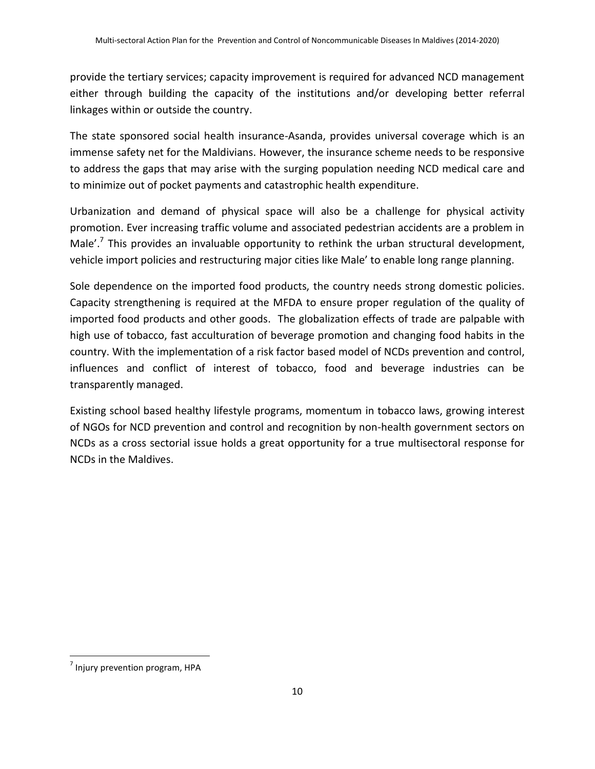provide the tertiary services; capacity improvement is required for advanced NCD management either through building the capacity of the institutions and/or developing better referral linkages within or outside the country.

The state sponsored social health insurance-Asanda, provides universal coverage which is an immense safety net for the Maldivians. However, the insurance scheme needs to be responsive to address the gaps that may arise with the surging population needing NCD medical care and to minimize out of pocket payments and catastrophic health expenditure.

Urbanization and demand of physical space will also be a challenge for physical activity promotion. Ever increasing traffic volume and associated pedestrian accidents are a problem in Male'.<sup>7</sup> This provides an invaluable opportunity to rethink the urban structural development, vehicle import policies and restructuring major cities like Male' to enable long range planning.

Sole dependence on the imported food products, the country needs strong domestic policies. Capacity strengthening is required at the MFDA to ensure proper regulation of the quality of imported food products and other goods. The globalization effects of trade are palpable with high use of tobacco, fast acculturation of beverage promotion and changing food habits in the country. With the implementation of a risk factor based model of NCDs prevention and control, influences and conflict of interest of tobacco, food and beverage industries can be transparently managed.

Existing school based healthy lifestyle programs, momentum in tobacco laws, growing interest of NGOs for NCD prevention and control and recognition by non-health government sectors on NCDs as a cross sectorial issue holds a great opportunity for a true multisectoral response for NCDs in the Maldives.

 $\overline{\phantom{a}}$ 

<sup>&</sup>lt;sup>7</sup> Injury prevention program, HPA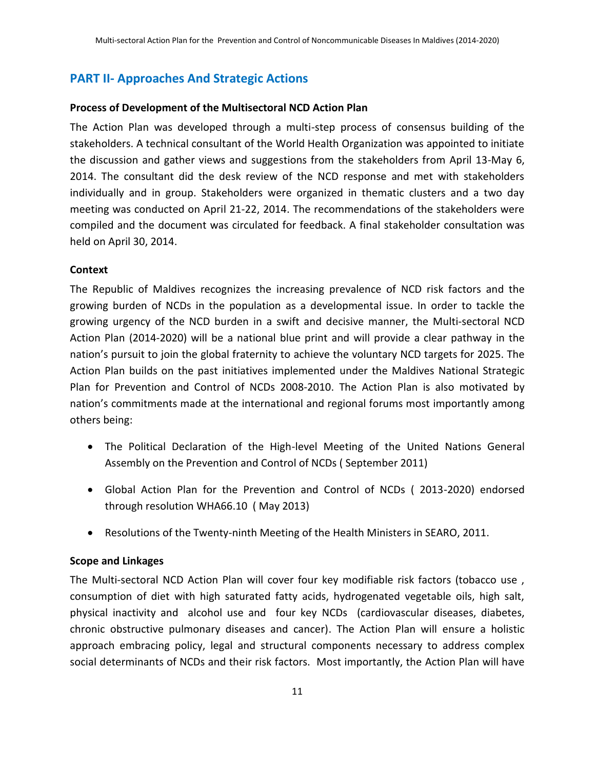# <span id="page-11-0"></span>**PART II- Approaches And Strategic Actions**

#### <span id="page-11-1"></span>**Process of Development of the Multisectoral NCD Action Plan**

The Action Plan was developed through a multi-step process of consensus building of the stakeholders. A technical consultant of the World Health Organization was appointed to initiate the discussion and gather views and suggestions from the stakeholders from April 13-May 6, 2014. The consultant did the desk review of the NCD response and met with stakeholders individually and in group. Stakeholders were organized in thematic clusters and a two day meeting was conducted on April 21-22, 2014. The recommendations of the stakeholders were compiled and the document was circulated for feedback. A final stakeholder consultation was held on April 30, 2014.

#### <span id="page-11-2"></span>**Context**

The Republic of Maldives recognizes the increasing prevalence of NCD risk factors and the growing burden of NCDs in the population as a developmental issue. In order to tackle the growing urgency of the NCD burden in a swift and decisive manner, the Multi-sectoral NCD Action Plan (2014-2020) will be a national blue print and will provide a clear pathway in the nation's pursuit to join the global fraternity to achieve the voluntary NCD targets for 2025. The Action Plan builds on the past initiatives implemented under the Maldives National Strategic Plan for Prevention and Control of NCDs 2008-2010. The Action Plan is also motivated by nation's commitments made at the international and regional forums most importantly among others being:

- The Political Declaration of the High-level Meeting of the United Nations General Assembly on the Prevention and Control of NCDs ( September 2011)
- Global Action Plan for the Prevention and Control of NCDs ( 2013-2020) endorsed through resolution WHA66.10 ( May 2013)
- Resolutions of the Twenty-ninth Meeting of the Health Ministers in SEARO, 2011.

### <span id="page-11-3"></span>**Scope and Linkages**

The Multi-sectoral NCD Action Plan will cover four key modifiable risk factors (tobacco use , consumption of diet with high saturated fatty acids, hydrogenated vegetable oils, high salt, physical inactivity and alcohol use and four key NCDs (cardiovascular diseases, diabetes, chronic obstructive pulmonary diseases and cancer). The Action Plan will ensure a holistic approach embracing policy, legal and structural components necessary to address complex social determinants of NCDs and their risk factors. Most importantly, the Action Plan will have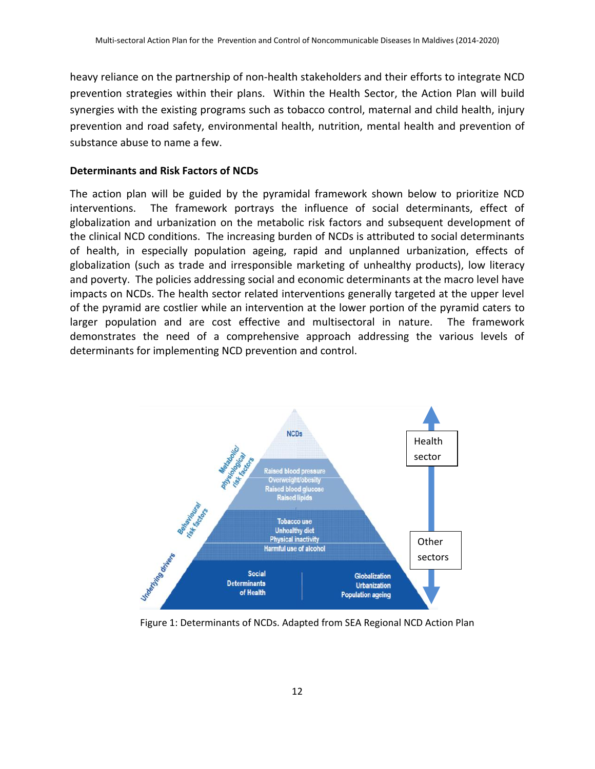heavy reliance on the partnership of non-health stakeholders and their efforts to integrate NCD prevention strategies within their plans. Within the Health Sector, the Action Plan will build synergies with the existing programs such as tobacco control, maternal and child health, injury prevention and road safety, environmental health, nutrition, mental health and prevention of substance abuse to name a few.

#### <span id="page-12-0"></span>**Determinants and Risk Factors of NCDs**

The action plan will be guided by the pyramidal framework shown below to prioritize NCD interventions. The framework portrays the influence of social determinants, effect of globalization and urbanization on the metabolic risk factors and subsequent development of the clinical NCD conditions. The increasing burden of NCDs is attributed to social determinants of health, in especially population ageing, rapid and unplanned urbanization, effects of globalization (such as trade and irresponsible marketing of unhealthy products), low literacy and poverty. The policies addressing social and economic determinants at the macro level have impacts on NCDs. The health sector related interventions generally targeted at the upper level of the pyramid are costlier while an intervention at the lower portion of the pyramid caters to larger population and are cost effective and multisectoral in nature. The framework demonstrates the need of a comprehensive approach addressing the various levels of determinants for implementing NCD prevention and control.



Figure 1: Determinants of NCDs. Adapted from SEA Regional NCD Action Plan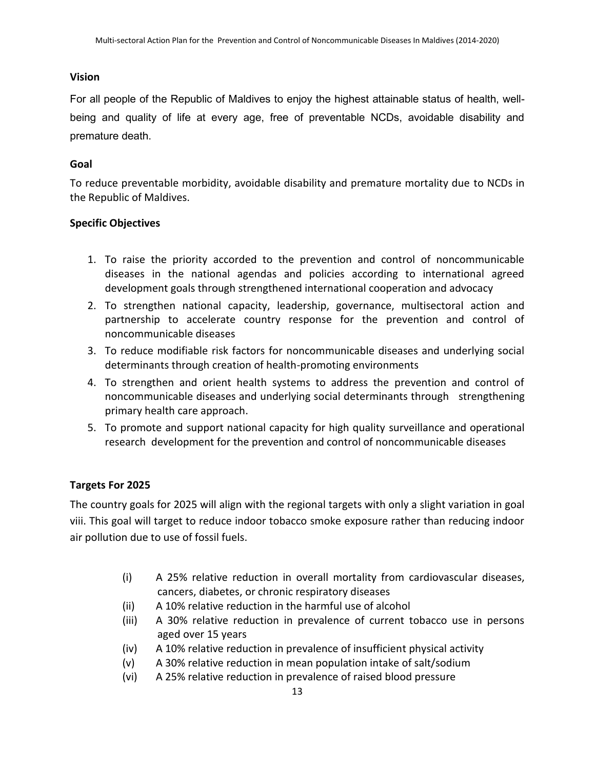#### <span id="page-13-0"></span>**Vision**

For all people of the Republic of Maldives to enjoy the highest attainable status of health, wellbeing and quality of life at every age, free of preventable NCDs, avoidable disability and premature death.

#### <span id="page-13-1"></span>**Goal**

To reduce preventable morbidity, avoidable disability and premature mortality due to NCDs in the Republic of Maldives.

#### <span id="page-13-2"></span>**Specific Objectives**

- 1. To raise the priority accorded to the prevention and control of noncommunicable diseases in the national agendas and policies according to international agreed development goals through strengthened international cooperation and advocacy
- 2. To strengthen national capacity, leadership, governance, multisectoral action and partnership to accelerate country response for the prevention and control of noncommunicable diseases
- 3. To reduce modifiable risk factors for noncommunicable diseases and underlying social determinants through creation of health-promoting environments
- 4. To strengthen and orient health systems to address the prevention and control of noncommunicable diseases and underlying social determinants through strengthening primary health care approach.
- 5. To promote and support national capacity for high quality surveillance and operational research development for the prevention and control of noncommunicable diseases

### <span id="page-13-3"></span>**Targets For 2025**

The country goals for 2025 will align with the regional targets with only a slight variation in goal viii. This goal will target to reduce indoor tobacco smoke exposure rather than reducing indoor air pollution due to use of fossil fuels.

- (i) A 25% relative reduction in overall mortality from cardiovascular diseases, cancers, diabetes, or chronic respiratory diseases
- (ii) A 10% relative reduction in the harmful use of alcohol
- (iii) A 30% relative reduction in prevalence of current tobacco use in persons aged over 15 years
- (iv) A 10% relative reduction in prevalence of insufficient physical activity
- (v) A 30% relative reduction in mean population intake of salt/sodium
- (vi) A 25% relative reduction in prevalence of raised blood pressure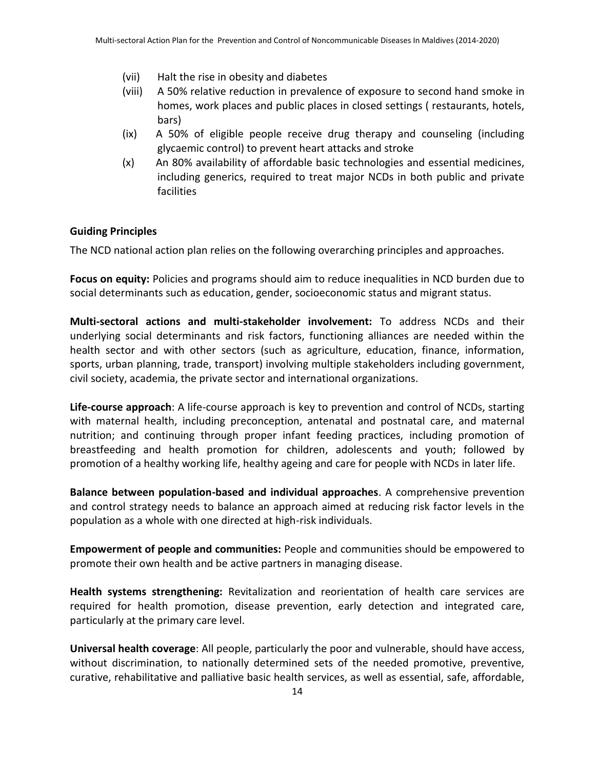- (vii) Halt the rise in obesity and diabetes
- (viii) A 50% relative reduction in prevalence of exposure to second hand smoke in homes, work places and public places in closed settings ( restaurants, hotels, bars)
- (ix) A 50% of eligible people receive drug therapy and counseling (including glycaemic control) to prevent heart attacks and stroke
- (x) An 80% availability of affordable basic technologies and essential medicines, including generics, required to treat major NCDs in both public and private facilities

### <span id="page-14-0"></span>**Guiding Principles**

The NCD national action plan relies on the following overarching principles and approaches.

**Focus on equity:** Policies and programs should aim to reduce inequalities in NCD burden due to social determinants such as education, gender, socioeconomic status and migrant status.

**Multi-sectoral actions and multi-stakeholder involvement:** To address NCDs and their underlying social determinants and risk factors, functioning alliances are needed within the health sector and with other sectors (such as agriculture, education, finance, information, sports, urban planning, trade, transport) involving multiple stakeholders including government, civil society, academia, the private sector and international organizations.

**Life-course approach**: A life-course approach is key to prevention and control of NCDs, starting with maternal health, including preconception, antenatal and postnatal care, and maternal nutrition; and continuing through proper infant feeding practices, including promotion of breastfeeding and health promotion for children, adolescents and youth; followed by promotion of a healthy working life, healthy ageing and care for people with NCDs in later life.

**Balance between population-based and individual approaches**. A comprehensive prevention and control strategy needs to balance an approach aimed at reducing risk factor levels in the population as a whole with one directed at high-risk individuals.

**Empowerment of people and communities:** People and communities should be empowered to promote their own health and be active partners in managing disease.

**Health systems strengthening:** Revitalization and reorientation of health care services are required for health promotion, disease prevention, early detection and integrated care, particularly at the primary care level.

**Universal health coverage**: All people, particularly the poor and vulnerable, should have access, without discrimination, to nationally determined sets of the needed promotive, preventive, curative, rehabilitative and palliative basic health services, as well as essential, safe, affordable,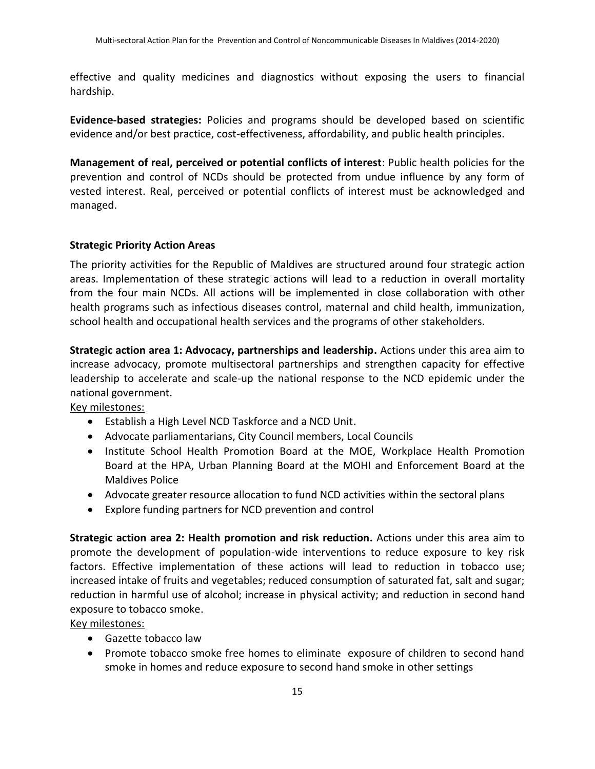effective and quality medicines and diagnostics without exposing the users to financial hardship.

**Evidence-based strategies:** Policies and programs should be developed based on scientific evidence and/or best practice, cost-effectiveness, affordability, and public health principles.

**Management of real, perceived or potential conflicts of interest**: Public health policies for the prevention and control of NCDs should be protected from undue influence by any form of vested interest. Real, perceived or potential conflicts of interest must be acknowledged and managed.

### <span id="page-15-0"></span>**Strategic Priority Action Areas**

The priority activities for the Republic of Maldives are structured around four strategic action areas. Implementation of these strategic actions will lead to a reduction in overall mortality from the four main NCDs. All actions will be implemented in close collaboration with other health programs such as infectious diseases control, maternal and child health, immunization, school health and occupational health services and the programs of other stakeholders.

<span id="page-15-1"></span>**Strategic action area 1: Advocacy, partnerships and leadership.** Actions under this area aim to increase advocacy, promote multisectoral partnerships and strengthen capacity for effective leadership to accelerate and scale-up the national response to the NCD epidemic under the national government.

Key milestones:

- Establish a High Level NCD Taskforce and a NCD Unit.
- Advocate parliamentarians, City Council members, Local Councils
- Institute School Health Promotion Board at the MOE, Workplace Health Promotion Board at the HPA, Urban Planning Board at the MOHI and Enforcement Board at the Maldives Police
- Advocate greater resource allocation to fund NCD activities within the sectoral plans
- Explore funding partners for NCD prevention and control

<span id="page-15-2"></span>**Strategic action area 2: Health promotion and risk reduction.** Actions under this area aim to promote the development of population-wide interventions to reduce exposure to key risk factors. Effective implementation of these actions will lead to reduction in tobacco use; increased intake of fruits and vegetables; reduced consumption of saturated fat, salt and sugar; reduction in harmful use of alcohol; increase in physical activity; and reduction in second hand exposure to tobacco smoke.

### Key milestones:

- Gazette tobacco law
- Promote tobacco smoke free homes to eliminate exposure of children to second hand smoke in homes and reduce exposure to second hand smoke in other settings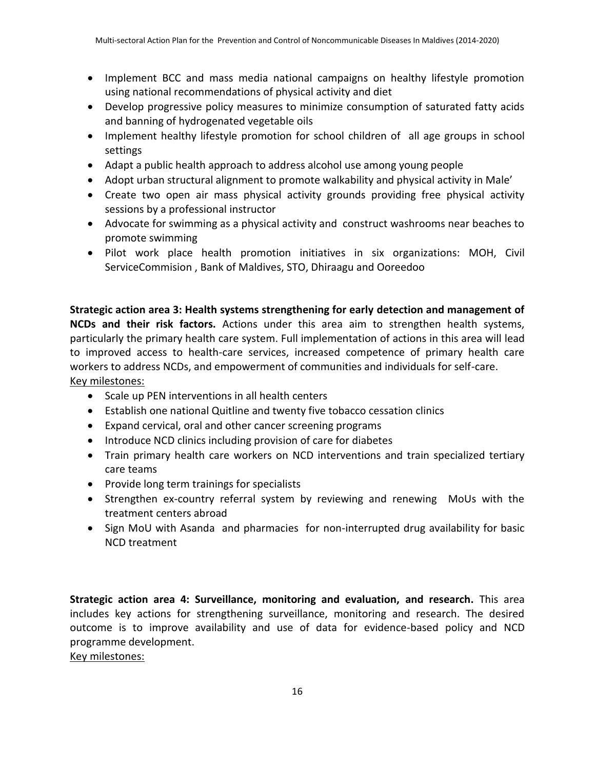- Implement BCC and mass media national campaigns on healthy lifestyle promotion using national recommendations of physical activity and diet
- Develop progressive policy measures to minimize consumption of saturated fatty acids and banning of hydrogenated vegetable oils
- Implement healthy lifestyle promotion for school children of all age groups in school settings
- Adapt a public health approach to address alcohol use among young people
- Adopt urban structural alignment to promote walkability and physical activity in Male'
- Create two open air mass physical activity grounds providing free physical activity sessions by a professional instructor
- Advocate for swimming as a physical activity and construct washrooms near beaches to promote swimming
- Pilot work place health promotion initiatives in six organizations: MOH, Civil ServiceCommision , Bank of Maldives, STO, Dhiraagu and Ooreedoo

<span id="page-16-0"></span>**Strategic action area 3: Health systems strengthening for early detection and management of NCDs and their risk factors.** Actions under this area aim to strengthen health systems, particularly the primary health care system. Full implementation of actions in this area will lead to improved access to health-care services, increased competence of primary health care workers to address NCDs, and empowerment of communities and individuals for self-care. Key milestones:

- Scale up PEN interventions in all health centers
- Establish one national Quitline and twenty five tobacco cessation clinics
- Expand cervical, oral and other cancer screening programs
- Introduce NCD clinics including provision of care for diabetes
- Train primary health care workers on NCD interventions and train specialized tertiary care teams
- Provide long term trainings for specialists
- Strengthen ex-country referral system by reviewing and renewing MoUs with the treatment centers abroad
- Sign MoU with Asanda and pharmacies for non-interrupted drug availability for basic NCD treatment

<span id="page-16-1"></span>**Strategic action area 4: Surveillance, monitoring and evaluation, and research.** This area includes key actions for strengthening surveillance, monitoring and research. The desired outcome is to improve availability and use of data for evidence-based policy and NCD programme development.

### Key milestones: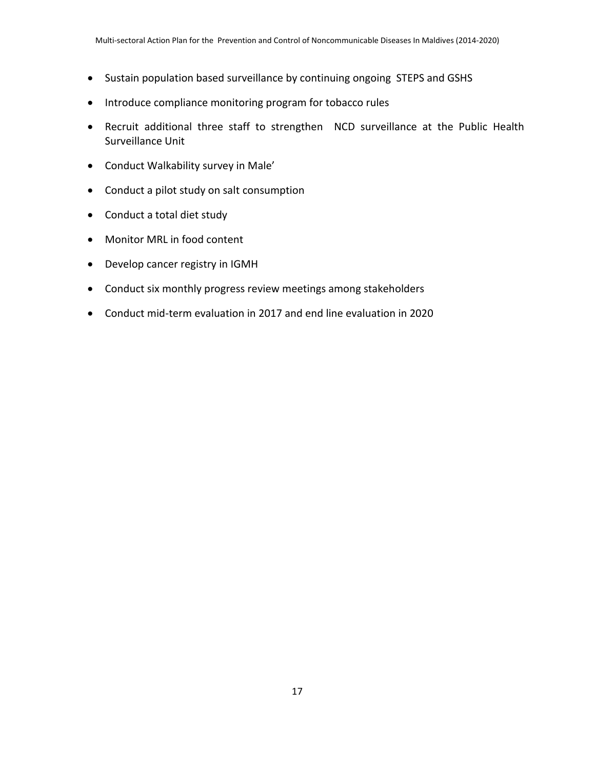- Sustain population based surveillance by continuing ongoing STEPS and GSHS
- Introduce compliance monitoring program for tobacco rules
- Recruit additional three staff to strengthen NCD surveillance at the Public Health Surveillance Unit
- Conduct Walkability survey in Male'
- Conduct a pilot study on salt consumption
- Conduct a total diet study
- Monitor MRL in food content
- Develop cancer registry in IGMH
- Conduct six monthly progress review meetings among stakeholders
- Conduct mid-term evaluation in 2017 and end line evaluation in 2020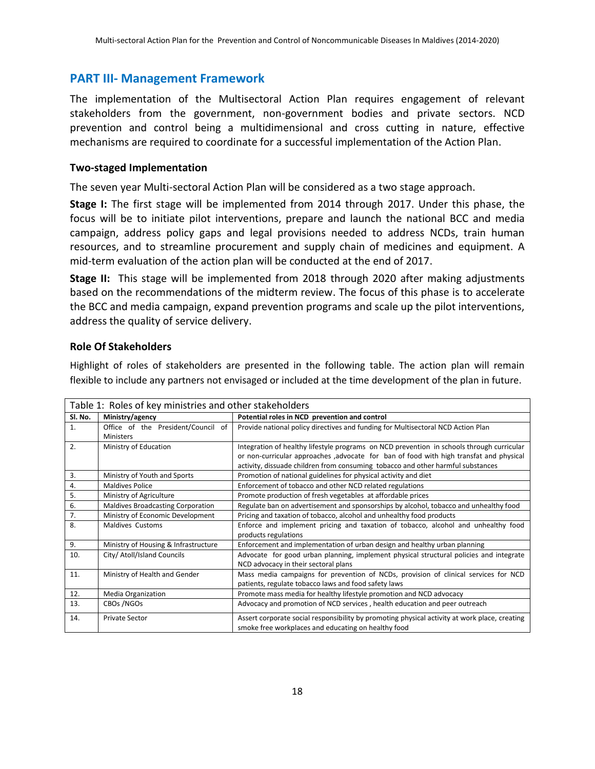## <span id="page-18-0"></span>**PART III- Management Framework**

The implementation of the Multisectoral Action Plan requires engagement of relevant stakeholders from the government, non-government bodies and private sectors. NCD prevention and control being a multidimensional and cross cutting in nature, effective mechanisms are required to coordinate for a successful implementation of the Action Plan.

#### <span id="page-18-1"></span>**Two-staged Implementation**

The seven year Multi-sectoral Action Plan will be considered as a two stage approach.

<span id="page-18-2"></span>**Stage I:** The first stage will be implemented from 2014 through 2017. Under this phase, the focus will be to initiate pilot interventions, prepare and launch the national BCC and media campaign, address policy gaps and legal provisions needed to address NCDs, train human resources, and to streamline procurement and supply chain of medicines and equipment. A mid-term evaluation of the action plan will be conducted at the end of 2017.

<span id="page-18-3"></span>**Stage II:** This stage will be implemented from 2018 through 2020 after making adjustments based on the recommendations of the midterm review. The focus of this phase is to accelerate the BCC and media campaign, expand prevention programs and scale up the pilot interventions, address the quality of service delivery.

#### <span id="page-18-4"></span>**Role Of Stakeholders**

Highlight of roles of stakeholders are presented in the following table. The action plan will remain flexible to include any partners not envisaged or included at the time development of the plan in future.

| Table 1: Roles of key ministries and other stakeholders |                                          |                                                                                                                                                      |  |
|---------------------------------------------------------|------------------------------------------|------------------------------------------------------------------------------------------------------------------------------------------------------|--|
| Sl. No.                                                 | Ministry/agency                          | Potential roles in NCD prevention and control                                                                                                        |  |
| 1.                                                      | Office of the President/Council of       | Provide national policy directives and funding for Multisectoral NCD Action Plan                                                                     |  |
|                                                         | <b>Ministers</b>                         |                                                                                                                                                      |  |
| 2.                                                      | Ministry of Education                    | Integration of healthy lifestyle programs on NCD prevention in schools through curricular                                                            |  |
|                                                         |                                          | or non-curricular approaches , advocate for ban of food with high transfat and physical                                                              |  |
|                                                         |                                          | activity, dissuade children from consuming tobacco and other harmful substances                                                                      |  |
| 3.                                                      | Ministry of Youth and Sports             | Promotion of national guidelines for physical activity and diet                                                                                      |  |
| 4.                                                      | <b>Maldives Police</b>                   | Enforcement of tobacco and other NCD related regulations                                                                                             |  |
| 5.                                                      | Ministry of Agriculture                  | Promote production of fresh vegetables at affordable prices                                                                                          |  |
| 6.                                                      | <b>Maldives Broadcasting Corporation</b> | Regulate ban on advertisement and sponsorships by alcohol, tobacco and unhealthy food                                                                |  |
| 7.                                                      | Ministry of Economic Development         | Pricing and taxation of tobacco, alcohol and unhealthy food products                                                                                 |  |
| 8.                                                      | <b>Maldives Customs</b>                  | Enforce and implement pricing and taxation of tobacco, alcohol and unhealthy food                                                                    |  |
|                                                         |                                          | products regulations                                                                                                                                 |  |
| 9.                                                      | Ministry of Housing & Infrastructure     | Enforcement and implementation of urban design and healthy urban planning                                                                            |  |
| 10.                                                     | City/ Atoll/Island Councils              | Advocate for good urban planning, implement physical structural policies and integrate                                                               |  |
|                                                         |                                          | NCD advocacy in their sectoral plans                                                                                                                 |  |
| 11.                                                     | Ministry of Health and Gender            | Mass media campaigns for prevention of NCDs, provision of clinical services for NCD                                                                  |  |
|                                                         |                                          | patients, regulate tobacco laws and food safety laws                                                                                                 |  |
| 12.                                                     | <b>Media Organization</b>                | Promote mass media for healthy lifestyle promotion and NCD advocacy                                                                                  |  |
| 13.                                                     | CBOs /NGOs                               | Advocacy and promotion of NCD services, health education and peer outreach                                                                           |  |
| 14.                                                     | <b>Private Sector</b>                    | Assert corporate social responsibility by promoting physical activity at work place, creating<br>smoke free workplaces and educating on healthy food |  |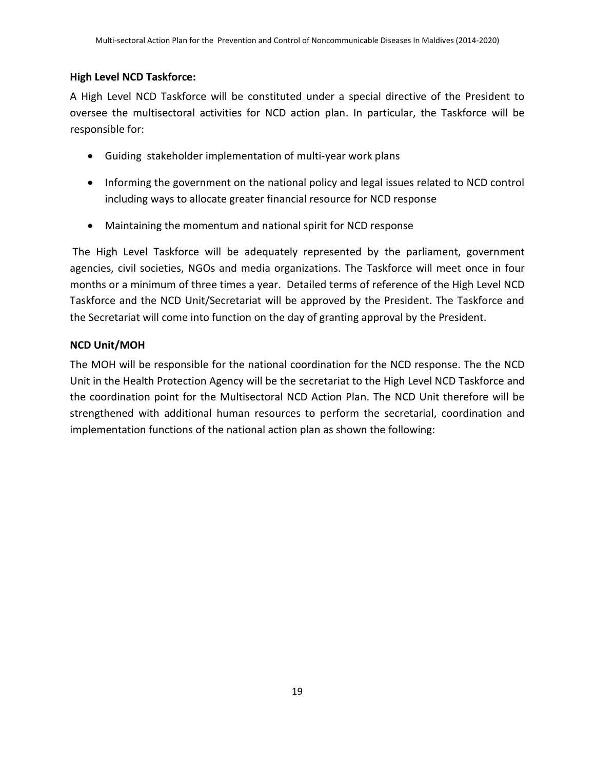## <span id="page-19-0"></span>**High Level NCD Taskforce:**

A High Level NCD Taskforce will be constituted under a special directive of the President to oversee the multisectoral activities for NCD action plan. In particular, the Taskforce will be responsible for:

- Guiding stakeholder implementation of multi-year work plans
- Informing the government on the national policy and legal issues related to NCD control including ways to allocate greater financial resource for NCD response
- Maintaining the momentum and national spirit for NCD response

The High Level Taskforce will be adequately represented by the parliament, government agencies, civil societies, NGOs and media organizations. The Taskforce will meet once in four months or a minimum of three times a year. Detailed terms of reference of the High Level NCD Taskforce and the NCD Unit/Secretariat will be approved by the President. The Taskforce and the Secretariat will come into function on the day of granting approval by the President.

## <span id="page-19-1"></span>**NCD Unit/MOH**

The MOH will be responsible for the national coordination for the NCD response. The the NCD Unit in the Health Protection Agency will be the secretariat to the High Level NCD Taskforce and the coordination point for the Multisectoral NCD Action Plan. The NCD Unit therefore will be strengthened with additional human resources to perform the secretarial, coordination and implementation functions of the national action plan as shown the following: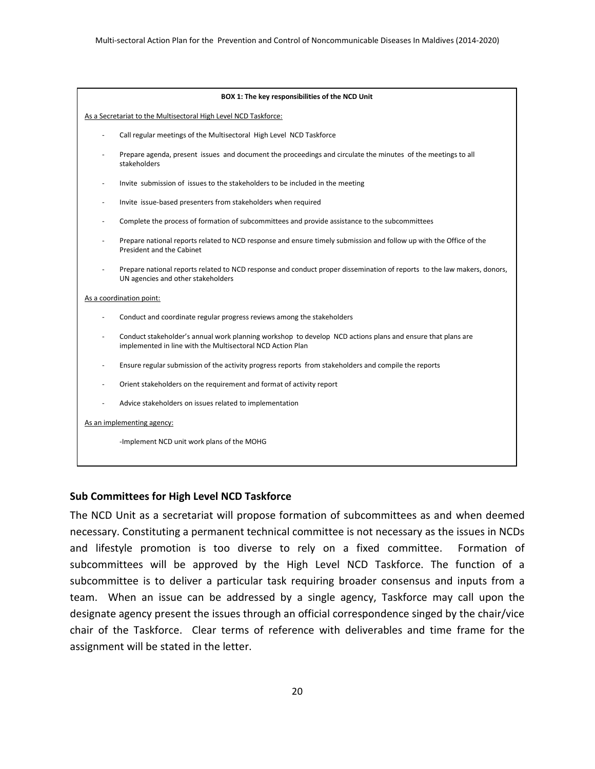| BOX 1: The key responsibilities of the NCD Unit |                                                                                                                                                                          |  |  |
|-------------------------------------------------|--------------------------------------------------------------------------------------------------------------------------------------------------------------------------|--|--|
|                                                 | As a Secretariat to the Multisectoral High Level NCD Taskforce:                                                                                                          |  |  |
|                                                 | Call regular meetings of the Multisectoral High Level NCD Taskforce                                                                                                      |  |  |
|                                                 | Prepare agenda, present issues and document the proceedings and circulate the minutes of the meetings to all<br>stakeholders                                             |  |  |
|                                                 | Invite submission of issues to the stakeholders to be included in the meeting                                                                                            |  |  |
|                                                 | Invite issue-based presenters from stakeholders when required                                                                                                            |  |  |
|                                                 | Complete the process of formation of subcommittees and provide assistance to the subcommittees                                                                           |  |  |
|                                                 | Prepare national reports related to NCD response and ensure timely submission and follow up with the Office of the<br>President and the Cabinet                          |  |  |
|                                                 | Prepare national reports related to NCD response and conduct proper dissemination of reports to the law makers, donors,<br>UN agencies and other stakeholders            |  |  |
|                                                 | As a coordination point:                                                                                                                                                 |  |  |
|                                                 | Conduct and coordinate regular progress reviews among the stakeholders                                                                                                   |  |  |
| $\overline{\phantom{a}}$                        | Conduct stakeholder's annual work planning workshop to develop NCD actions plans and ensure that plans are<br>implemented in line with the Multisectoral NCD Action Plan |  |  |
|                                                 | Ensure regular submission of the activity progress reports from stakeholders and compile the reports                                                                     |  |  |
|                                                 | Orient stakeholders on the requirement and format of activity report                                                                                                     |  |  |
|                                                 | Advice stakeholders on issues related to implementation                                                                                                                  |  |  |
| As an implementing agency:                      |                                                                                                                                                                          |  |  |
|                                                 | -Implement NCD unit work plans of the MOHG                                                                                                                               |  |  |

#### <span id="page-20-0"></span>**Sub Committees for High Level NCD Taskforce**

The NCD Unit as a secretariat will propose formation of subcommittees as and when deemed necessary. Constituting a permanent technical committee is not necessary as the issues in NCDs and lifestyle promotion is too diverse to rely on a fixed committee. Formation of subcommittees will be approved by the High Level NCD Taskforce. The function of a subcommittee is to deliver a particular task requiring broader consensus and inputs from a team. When an issue can be addressed by a single agency, Taskforce may call upon the designate agency present the issues through an official correspondence singed by the chair/vice chair of the Taskforce. Clear terms of reference with deliverables and time frame for the assignment will be stated in the letter.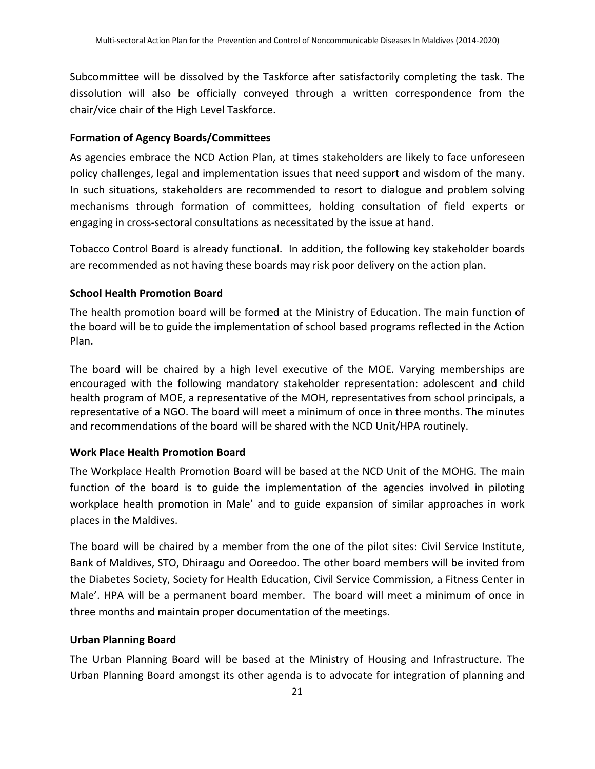Subcommittee will be dissolved by the Taskforce after satisfactorily completing the task. The dissolution will also be officially conveyed through a written correspondence from the chair/vice chair of the High Level Taskforce.

#### <span id="page-21-0"></span>**Formation of Agency Boards/Committees**

As agencies embrace the NCD Action Plan, at times stakeholders are likely to face unforeseen policy challenges, legal and implementation issues that need support and wisdom of the many. In such situations, stakeholders are recommended to resort to dialogue and problem solving mechanisms through formation of committees, holding consultation of field experts or engaging in cross-sectoral consultations as necessitated by the issue at hand.

Tobacco Control Board is already functional. In addition, the following key stakeholder boards are recommended as not having these boards may risk poor delivery on the action plan.

### <span id="page-21-1"></span>**School Health Promotion Board**

The health promotion board will be formed at the Ministry of Education. The main function of the board will be to guide the implementation of school based programs reflected in the Action Plan.

The board will be chaired by a high level executive of the MOE. Varying memberships are encouraged with the following mandatory stakeholder representation: adolescent and child health program of MOE, a representative of the MOH, representatives from school principals, a representative of a NGO. The board will meet a minimum of once in three months. The minutes and recommendations of the board will be shared with the NCD Unit/HPA routinely.

### <span id="page-21-2"></span>**Work Place Health Promotion Board**

The Workplace Health Promotion Board will be based at the NCD Unit of the MOHG. The main function of the board is to guide the implementation of the agencies involved in piloting workplace health promotion in Male' and to guide expansion of similar approaches in work places in the Maldives.

The board will be chaired by a member from the one of the pilot sites: Civil Service Institute, Bank of Maldives, STO, Dhiraagu and Ooreedoo. The other board members will be invited from the Diabetes Society, Society for Health Education, Civil Service Commission, a Fitness Center in Male'. HPA will be a permanent board member. The board will meet a minimum of once in three months and maintain proper documentation of the meetings.

### <span id="page-21-3"></span>**Urban Planning Board**

The Urban Planning Board will be based at the Ministry of Housing and Infrastructure. The Urban Planning Board amongst its other agenda is to advocate for integration of planning and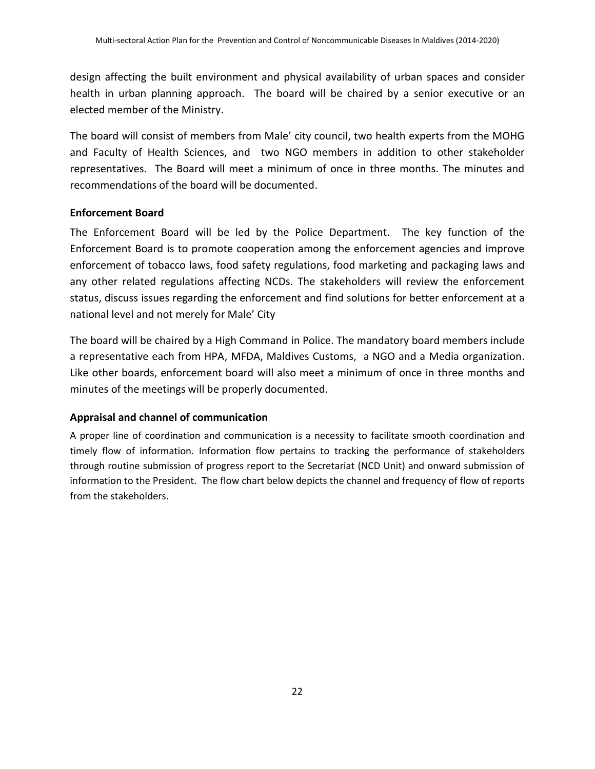design affecting the built environment and physical availability of urban spaces and consider health in urban planning approach. The board will be chaired by a senior executive or an elected member of the Ministry.

The board will consist of members from Male' city council, two health experts from the MOHG and Faculty of Health Sciences, and two NGO members in addition to other stakeholder representatives. The Board will meet a minimum of once in three months. The minutes and recommendations of the board will be documented.

### <span id="page-22-0"></span>**Enforcement Board**

The Enforcement Board will be led by the Police Department. The key function of the Enforcement Board is to promote cooperation among the enforcement agencies and improve enforcement of tobacco laws, food safety regulations, food marketing and packaging laws and any other related regulations affecting NCDs. The stakeholders will review the enforcement status, discuss issues regarding the enforcement and find solutions for better enforcement at a national level and not merely for Male' City

The board will be chaired by a High Command in Police. The mandatory board members include a representative each from HPA, MFDA, Maldives Customs, a NGO and a Media organization. Like other boards, enforcement board will also meet a minimum of once in three months and minutes of the meetings will be properly documented.

## <span id="page-22-1"></span>**Appraisal and channel of communication**

A proper line of coordination and communication is a necessity to facilitate smooth coordination and timely flow of information. Information flow pertains to tracking the performance of stakeholders through routine submission of progress report to the Secretariat (NCD Unit) and onward submission of information to the President. The flow chart below depicts the channel and frequency of flow of reports from the stakeholders.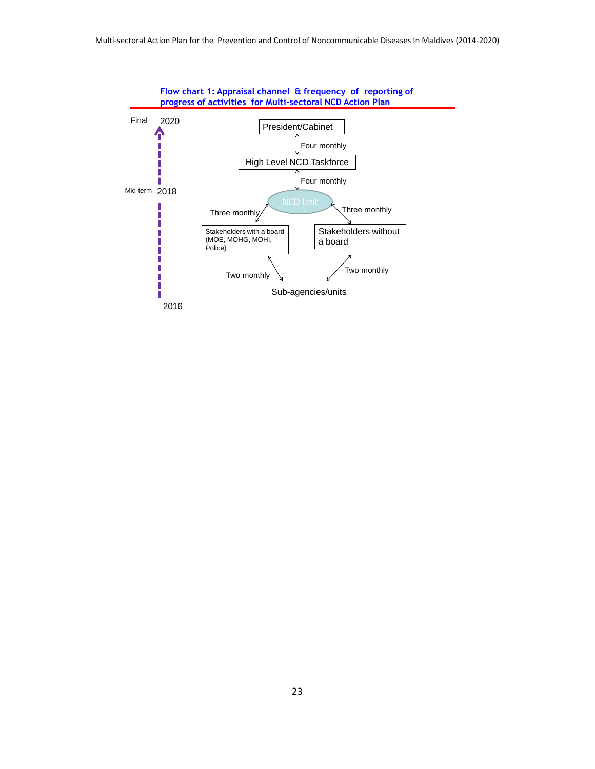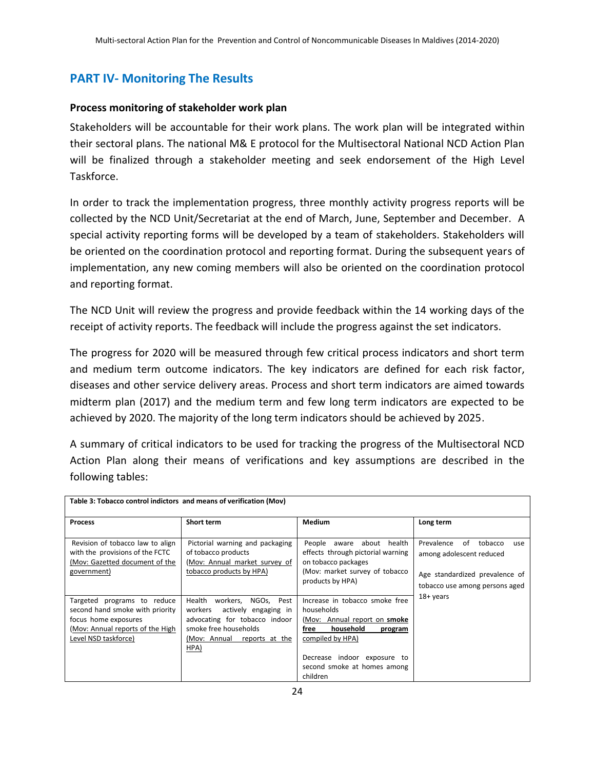# <span id="page-24-0"></span>**PART IV- Monitoring The Results**

#### <span id="page-24-1"></span>**Process monitoring of stakeholder work plan**

Stakeholders will be accountable for their work plans. The work plan will be integrated within their sectoral plans. The national M& E protocol for the Multisectoral National NCD Action Plan will be finalized through a stakeholder meeting and seek endorsement of the High Level Taskforce.

In order to track the implementation progress, three monthly activity progress reports will be collected by the NCD Unit/Secretariat at the end of March, June, September and December. A special activity reporting forms will be developed by a team of stakeholders. Stakeholders will be oriented on the coordination protocol and reporting format. During the subsequent years of implementation, any new coming members will also be oriented on the coordination protocol and reporting format.

The NCD Unit will review the progress and provide feedback within the 14 working days of the receipt of activity reports. The feedback will include the progress against the set indicators.

The progress for 2020 will be measured through few critical process indicators and short term and medium term outcome indicators. The key indicators are defined for each risk factor, diseases and other service delivery areas. Process and short term indicators are aimed towards midterm plan (2017) and the medium term and few long term indicators are expected to be achieved by 2020. The majority of the long term indicators should be achieved by 2025.

A summary of critical indicators to be used for tracking the progress of the Multisectoral NCD Action Plan along their means of verifications and key assumptions are described in the following tables:

| Table 3: Tobacco control indictors and means of verification (Mov)                                                                                 |                                                                                                                                                                      |                                                                                                                                                                                                            |                                                                                                                                     |
|----------------------------------------------------------------------------------------------------------------------------------------------------|----------------------------------------------------------------------------------------------------------------------------------------------------------------------|------------------------------------------------------------------------------------------------------------------------------------------------------------------------------------------------------------|-------------------------------------------------------------------------------------------------------------------------------------|
| <b>Process</b>                                                                                                                                     | <b>Short term</b>                                                                                                                                                    | <b>Medium</b>                                                                                                                                                                                              | Long term                                                                                                                           |
| Revision of tobacco law to align<br>with the provisions of the FCTC<br>(Mov: Gazetted document of the<br>government)                               | Pictorial warning and packaging<br>of tobacco products<br>(Mov: Annual market survey of<br>tobacco products by HPA)                                                  | People aware<br>about health<br>effects through pictorial warning<br>on tobacco packages<br>(Mov: market survey of tobacco<br>products by HPA)                                                             | Prevalence<br>of<br>tobacco<br>use.<br>among adolescent reduced<br>Age standardized prevalence of<br>tobacco use among persons aged |
| Targeted programs to reduce<br>second hand smoke with priority<br>focus home exposures<br>(Mov: Annual reports of the High<br>Level NSD taskforce) | Health<br>NGOs, Pest<br>workers,<br>actively engaging in<br>workers<br>advocating for tobacco indoor<br>smoke free households<br>(Mov: Annual reports at the<br>HPA) | Increase in tobacco smoke free<br>households<br>(Mov: Annual report on smoke<br>household<br>free<br>program<br>compiled by HPA)<br>Decrease indoor exposure to<br>second smoke at homes among<br>children | $18 + \mathrm{years}$                                                                                                               |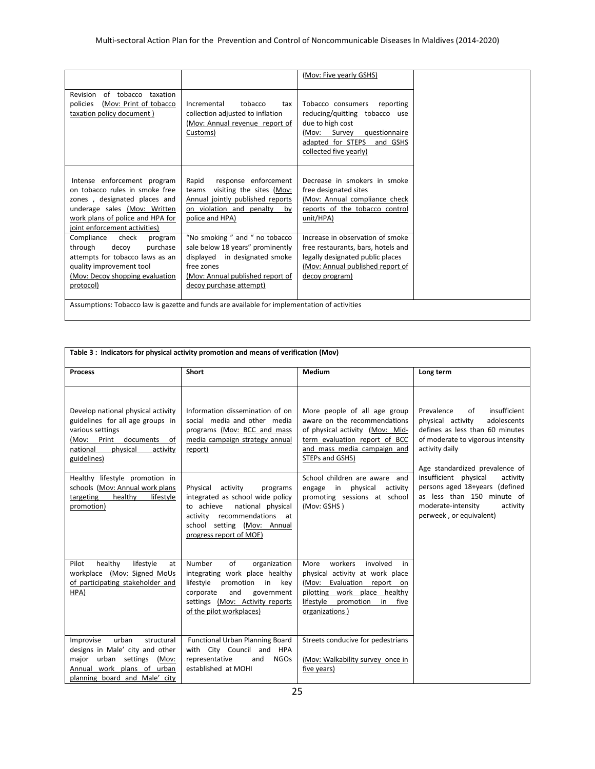|                                                                                                                                                                                                    |                                                                                                                                                                                  | (Mov: Five yearly GSHS)                                                                                                                                                         |  |
|----------------------------------------------------------------------------------------------------------------------------------------------------------------------------------------------------|----------------------------------------------------------------------------------------------------------------------------------------------------------------------------------|---------------------------------------------------------------------------------------------------------------------------------------------------------------------------------|--|
| of tobacco taxation<br>Revision<br>policies<br>(Mov: Print of tobacco<br>taxation policy document)                                                                                                 | Incremental<br>tobacco<br>tax<br>collection adjusted to inflation<br>(Mov: Annual revenue report of<br>Customs)                                                                  | Tobacco consumers<br>reporting<br>reducing/quitting tobacco use<br>due to high cost<br>(Mov: Survey<br>questionnaire<br>adapted for STEPS<br>and GSHS<br>collected five yearly) |  |
| Intense enforcement program<br>on tobacco rules in smoke free<br>zones, designated places and<br>underage sales (Mov: Written<br>work plans of police and HPA for<br>joint enforcement activities) | response enforcement<br>Rapid<br>visiting the sites (Mov:<br>teams<br>Annual jointly published reports<br>on violation and penalty<br>by<br>police and HPA)                      | Decrease in smokers in smoke<br>free designated sites<br>(Mov: Annual compliance check<br>reports of the tobacco control<br>unit/HPA)                                           |  |
| Compliance<br>check<br>program<br>purchase<br>through<br>decov<br>attempts for tobacco laws as an<br>quality improvement tool<br>(Mov: Decoy shopping evaluation<br>protocol)                      | "No smoking " and " no tobacco<br>sale below 18 years" prominently<br>displayed in designated smoke<br>free zones<br>(Mov: Annual published report of<br>decoy purchase attempt) | Increase in observation of smoke<br>free restaurants, bars, hotels and<br>legally designated public places<br>(Mov: Annual published report of<br>decoy program)                |  |
|                                                                                                                                                                                                    | Assumptions: Tobacco law is gazette and funds are available for implementation of activities                                                                                     |                                                                                                                                                                                 |  |

| Table 3: Indicators for physical activity promotion and means of verification (Mov)                                                                                             |                                                                                                                                                                                                       |                                                                                                                                                                                           |                                                                                                                                                                                                  |
|---------------------------------------------------------------------------------------------------------------------------------------------------------------------------------|-------------------------------------------------------------------------------------------------------------------------------------------------------------------------------------------------------|-------------------------------------------------------------------------------------------------------------------------------------------------------------------------------------------|--------------------------------------------------------------------------------------------------------------------------------------------------------------------------------------------------|
| <b>Process</b>                                                                                                                                                                  | <b>Short</b>                                                                                                                                                                                          | <b>Medium</b>                                                                                                                                                                             | Long term                                                                                                                                                                                        |
| Develop national physical activity<br>guidelines for all age groups in<br>various settings<br>(Mov: Print<br>documents<br>of<br>physical<br>national<br>activity<br>guidelines) | Information dissemination of on<br>social media and other media<br>programs (Mov: BCC and mass<br>media campaign strategy annual<br>report)                                                           | More people of all age group<br>aware on the recommendations<br>of physical activity (Mov: Mid-<br>term evaluation report of BCC<br>and mass media campaign and<br>STEPs and GSHS)        | insufficient<br>Prevalence<br>of<br>physical activity<br>adolescents<br>defines as less than 60 minutes<br>of moderate to vigorous intensity<br>activity daily<br>Age standardized prevalence of |
| Healthy lifestyle promotion in<br>schools (Mov: Annual work plans<br>targeting<br>healthy<br>lifestyle<br>promotion)                                                            | Physical activity<br>programs<br>integrated as school wide policy<br>to achieve<br>national physical<br>recommendations<br>activity<br>at -<br>school setting (Mov: Annual<br>progress report of MOE) | School children are aware and<br>engage in physical activity<br>promoting sessions at school<br>(Mov: GSHS)                                                                               | insufficient physical<br>activity<br>persons aged 18+years (defined<br>as less than 150 minute of<br>moderate-intensity<br>activity<br>perweek, or equivalent)                                   |
| lifestyle<br>Pilot<br>healthy<br>at<br>workplace (Mov: Signed MoUs<br>of participating stakeholder and<br>HPA)                                                                  | Number<br>of<br>organization<br>integrating work place healthy<br>lifestyle<br>promotion in<br>kev<br>corporate<br>and<br>government<br>settings (Mov: Activity reports<br>of the pilot workplaces)   | workers<br>involved<br>More<br>in<br>physical activity at work place<br>(Mov: Evaluation report on<br>pilotting work place healthy<br>lifestyle promotion<br>five<br>in<br>organizations) |                                                                                                                                                                                                  |
| urban<br>structural<br>Improvise<br>designs in Male' city and other<br>major urban settings (Mov:<br>Annual work plans of urban<br>planning board and Male' city                | Functional Urban Planning Board<br>with City Council and HPA<br>representative<br><b>NGOs</b><br>and<br>established at MOHI                                                                           | Streets conducive for pedestrians<br>(Mov: Walkability survey once in<br>five years)                                                                                                      |                                                                                                                                                                                                  |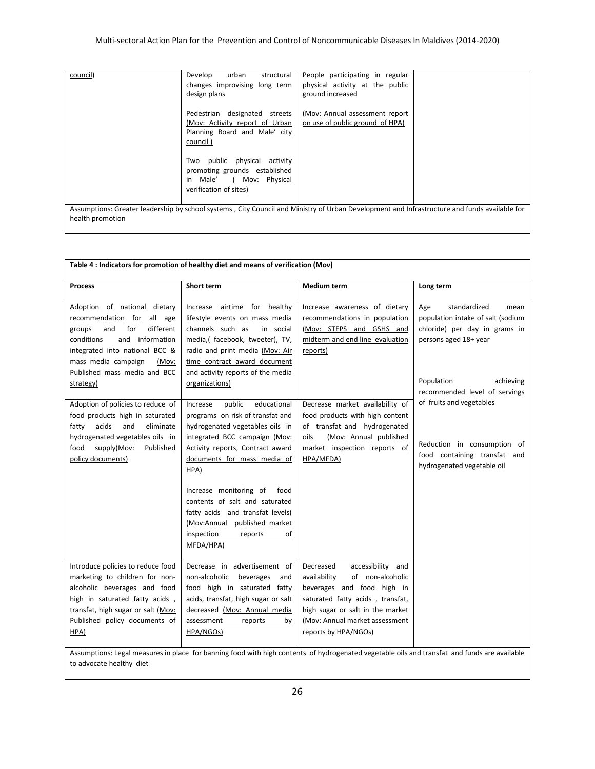| council)         | Develop<br>structural<br>urban                                                                                                                   | People participating in regular                                                                                                              |  |
|------------------|--------------------------------------------------------------------------------------------------------------------------------------------------|----------------------------------------------------------------------------------------------------------------------------------------------|--|
|                  | changes improvising long term                                                                                                                    | physical activity at the public                                                                                                              |  |
|                  | design plans                                                                                                                                     | ground increased                                                                                                                             |  |
|                  | Pedestrian designated streets                                                                                                                    | (Mov: Annual assessment report)                                                                                                              |  |
|                  | (Mov: Activity report of Urban                                                                                                                   | on use of public ground of HPA)                                                                                                              |  |
|                  | Planning Board and Male' city                                                                                                                    |                                                                                                                                              |  |
|                  | council)                                                                                                                                         |                                                                                                                                              |  |
|                  | public physical<br>activity<br>Two<br>promoting grounds established<br>Mov: Physical<br>Male'<br>in<br>$\sim$ ( $\sim$<br>verification of sites) |                                                                                                                                              |  |
| health promotion |                                                                                                                                                  | Assumptions: Greater leadership by school systems, City Council and Ministry of Urban Development and Infrastructure and funds available for |  |

| Table 4 : Indicators for promotion of healthy diet and means of verification (Mov)                                                                                                                                                                                                   |                                                                                                                                                                                                                                                                                                                                                                     |                                                                                                                                                                                                                                                                                                                                                                                    |                                                                                                                                                                                                                    |
|--------------------------------------------------------------------------------------------------------------------------------------------------------------------------------------------------------------------------------------------------------------------------------------|---------------------------------------------------------------------------------------------------------------------------------------------------------------------------------------------------------------------------------------------------------------------------------------------------------------------------------------------------------------------|------------------------------------------------------------------------------------------------------------------------------------------------------------------------------------------------------------------------------------------------------------------------------------------------------------------------------------------------------------------------------------|--------------------------------------------------------------------------------------------------------------------------------------------------------------------------------------------------------------------|
| <b>Process</b>                                                                                                                                                                                                                                                                       | Short term                                                                                                                                                                                                                                                                                                                                                          | <b>Medium term</b>                                                                                                                                                                                                                                                                                                                                                                 | Long term                                                                                                                                                                                                          |
| Adoption of national dietary<br>recommendation for all age<br>different<br>groups<br>and<br>for<br>conditions<br>and information<br>integrated into national BCC &<br>mass media campaign<br>(Mov:<br>Published mass media and BCC<br>strategy)<br>Adoption of policies to reduce of | Increase airtime for healthy<br>lifestyle events on mass media<br>channels such as<br>in social<br>media,( facebook, tweeter), TV,<br>radio and print media (Mov: Air<br>time contract award document<br>and activity reports of the media<br>organizations)<br>public<br>educational<br>Increase                                                                   | Increase awareness of dietary<br>recommendations in population<br>(Mov: STEPS and GSHS and<br>midterm and end line evaluation<br>reports)<br>Decrease market availability of                                                                                                                                                                                                       | Age<br>standardized<br>mean<br>population intake of salt (sodium<br>chloride) per day in grams in<br>persons aged 18+ year<br>Population<br>achieving<br>recommended level of servings<br>of fruits and vegetables |
| food products high in saturated<br>acids<br>and<br>eliminate<br>fatty<br>hydrogenated vegetables oils in<br>food<br>supply(Mov:<br>Published<br>policy documents)                                                                                                                    | programs on risk of transfat and<br>hydrogenated vegetables oils in<br>integrated BCC campaign (Mov:<br>Activity reports, Contract award<br>documents for mass media of<br>HPA)<br>Increase monitoring of<br>food<br>contents of salt and saturated<br>fatty acids and transfat levels(<br>(Mov:Annual published market<br>inspection<br>reports<br>οf<br>MFDA/HPA) | food products with high content<br>of transfat and hydrogenated<br>oils<br>(Mov: Annual published<br>market inspection reports of<br>HPA/MFDA)                                                                                                                                                                                                                                     | Reduction in consumption of<br>food containing transfat and<br>hydrogenated vegetable oil                                                                                                                          |
| Introduce policies to reduce food<br>marketing to children for non-<br>alcoholic beverages and food<br>high in saturated fatty acids,<br>transfat, high sugar or salt (Mov:<br>Published policy documents of<br>HPA)                                                                 | Decrease in advertisement of<br>non-alcoholic beverages<br>and<br>food high in saturated fatty<br>acids, transfat, high sugar or salt<br>decreased (Mov: Annual media<br>assessment<br>reports<br>bν<br>HPA/NGOs)                                                                                                                                                   | accessibility and<br>Decreased<br>of non-alcoholic<br>availability<br>beverages and food high in<br>saturated fatty acids, transfat,<br>high sugar or salt in the market<br>(Mov: Annual market assessment<br>reports by HPA/NGOs)<br>Assumptions: Legal measures in place for banning food with high contents of hydrogenated vegetable oils and transfat and funds are available |                                                                                                                                                                                                                    |

to advocate healthy diet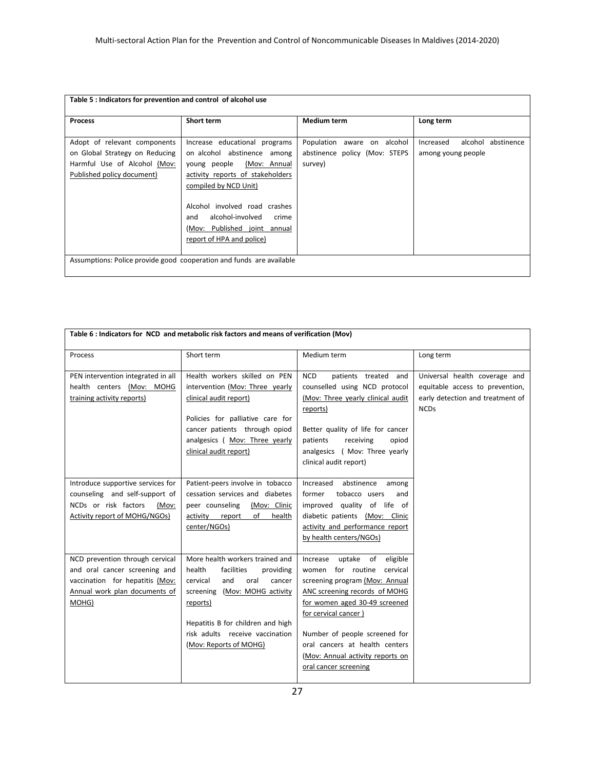| <b>Process</b>                                                                                                               | Short term                                                                                                                                                                                                                                                                               | <b>Medium term</b>                                                         | Long term                                             |
|------------------------------------------------------------------------------------------------------------------------------|------------------------------------------------------------------------------------------------------------------------------------------------------------------------------------------------------------------------------------------------------------------------------------------|----------------------------------------------------------------------------|-------------------------------------------------------|
| Adopt of relevant components<br>on Global Strategy on Reducing<br>Harmful Use of Alcohol (Mov:<br>Published policy document) | Increase educational programs<br>on alcohol abstinence among<br>young people (Mov: Annual<br>activity reports of stakeholders<br>compiled by NCD Unit)<br>Alcohol involved road crashes<br>alcohol-involved<br>crime<br>and<br>(Mov: Published joint annual<br>report of HPA and police) | Population<br>aware on alcohol<br>abstinence policy (Mov: STEPS<br>survey) | alcohol abstinence<br>Increased<br>among young people |

| Table 6 : Indicators for NCD and metabolic risk factors and means of verification (Mov)                                                       |                                                                                                                                                                                                                                                          |                                                                                                                                                                                                                                                                                                                                   |                                                                                                                     |  |  |  |
|-----------------------------------------------------------------------------------------------------------------------------------------------|----------------------------------------------------------------------------------------------------------------------------------------------------------------------------------------------------------------------------------------------------------|-----------------------------------------------------------------------------------------------------------------------------------------------------------------------------------------------------------------------------------------------------------------------------------------------------------------------------------|---------------------------------------------------------------------------------------------------------------------|--|--|--|
| Process                                                                                                                                       | Short term                                                                                                                                                                                                                                               | Medium term                                                                                                                                                                                                                                                                                                                       | Long term                                                                                                           |  |  |  |
| PEN intervention integrated in all<br>health centers (Mov: MOHG<br>training activity reports)                                                 | Health workers skilled on PEN<br>intervention (Mov: Three yearly<br>clinical audit report)<br>Policies for palliative care for<br>cancer patients through opiod<br>analgesics ( Mov: Three yearly<br>clinical audit report)                              | <b>NCD</b><br>patients treated and<br>counselled using NCD protocol<br>(Mov: Three yearly clinical audit<br>reports)<br>Better quality of life for cancer<br>patients<br>receiving<br>opiod<br>analgesics ( Mov: Three yearly<br>clinical audit report)                                                                           | Universal health coverage and<br>equitable access to prevention,<br>early detection and treatment of<br><b>NCDs</b> |  |  |  |
| Introduce supportive services for<br>counseling and self-support of<br>NCDs or risk factors<br>(Mov:<br>Activity report of MOHG/NGOs)         | Patient-peers involve in tobacco<br>cessation services and diabetes<br>peer counseling<br>(Mov: Clinic<br>activity report<br>of<br>health<br>center/NGOs)                                                                                                | Increased<br>abstinence<br>among<br>former<br>tobacco users<br>and<br>improved quality of life of<br>diabetic patients (Mov: Clinic<br>activity and performance report<br>by health centers/NGOs)                                                                                                                                 |                                                                                                                     |  |  |  |
| NCD prevention through cervical<br>and oral cancer screening and<br>vaccination for hepatitis (Mov:<br>Annual work plan documents of<br>MOHG) | More health workers trained and<br>health<br>facilities<br>providing<br>cervical<br>and<br>oral<br>cancer<br>screening (Mov: MOHG activity<br>reports)<br>Hepatitis B for children and high<br>risk adults receive vaccination<br>(Mov: Reports of MOHG) | uptake of<br>eligible<br>Increase<br>for routine<br>cervical<br>women<br>screening program (Mov: Annual<br>ANC screening records of MOHG<br>for women aged 30-49 screened<br>for cervical cancer)<br>Number of people screened for<br>oral cancers at health centers<br>(Mov: Annual activity reports on<br>oral cancer screening |                                                                                                                     |  |  |  |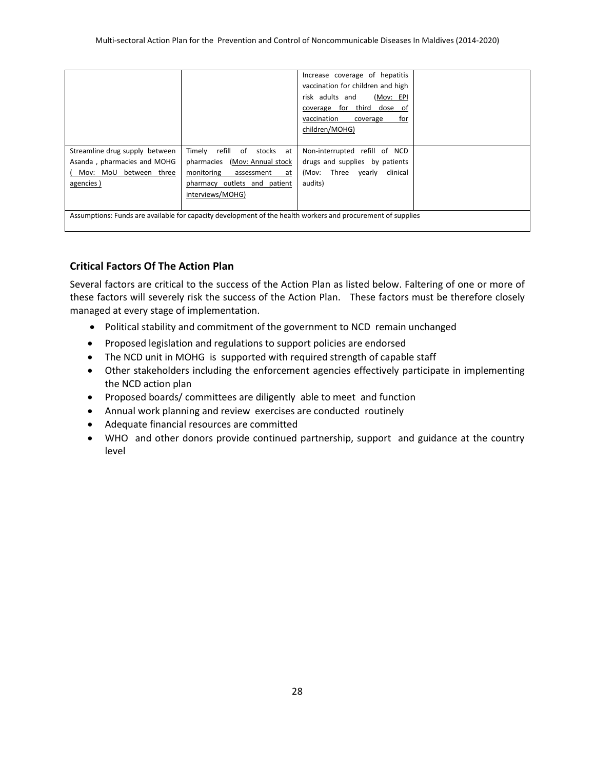|                                                                                                             |                                     | Increase coverage of hepatitis       |  |  |  |
|-------------------------------------------------------------------------------------------------------------|-------------------------------------|--------------------------------------|--|--|--|
|                                                                                                             |                                     | vaccination for children and high    |  |  |  |
|                                                                                                             |                                     | risk adults and<br>(Mov: EPI         |  |  |  |
|                                                                                                             |                                     | coverage for third<br>dose of        |  |  |  |
|                                                                                                             |                                     | vaccination<br>for<br>coverage       |  |  |  |
|                                                                                                             |                                     | children/MOHG)                       |  |  |  |
|                                                                                                             |                                     |                                      |  |  |  |
| Streamline drug supply between                                                                              | refill<br>Timelv<br>of<br>stocks at | Non-interrupted refill of NCD        |  |  |  |
| Asanda, pharmacies and MOHG                                                                                 | (Mov: Annual stock<br>pharmacies    | drugs and supplies by patients       |  |  |  |
| Mov: MoU between three                                                                                      | monitoring<br>at<br>assessment      | Three<br>(Mov:<br>clinical<br>vearly |  |  |  |
| agencies)                                                                                                   | pharmacy outlets and patient        | audits)                              |  |  |  |
|                                                                                                             | interviews/MOHG)                    |                                      |  |  |  |
|                                                                                                             |                                     |                                      |  |  |  |
| Assumptions: Funds are available for capacity development of the health workers and procurement of supplies |                                     |                                      |  |  |  |
|                                                                                                             |                                     |                                      |  |  |  |

### <span id="page-28-0"></span>**Critical Factors Of The Action Plan**

Several factors are critical to the success of the Action Plan as listed below. Faltering of one or more of these factors will severely risk the success of the Action Plan. These factors must be therefore closely managed at every stage of implementation.

- Political stability and commitment of the government to NCD remain unchanged
- Proposed legislation and regulations to support policies are endorsed
- The NCD unit in MOHG is supported with required strength of capable staff
- Other stakeholders including the enforcement agencies effectively participate in implementing the NCD action plan
- Proposed boards/ committees are diligently able to meet and function
- Annual work planning and review exercises are conducted routinely
- Adequate financial resources are committed
- WHO and other donors provide continued partnership, support and guidance at the country level